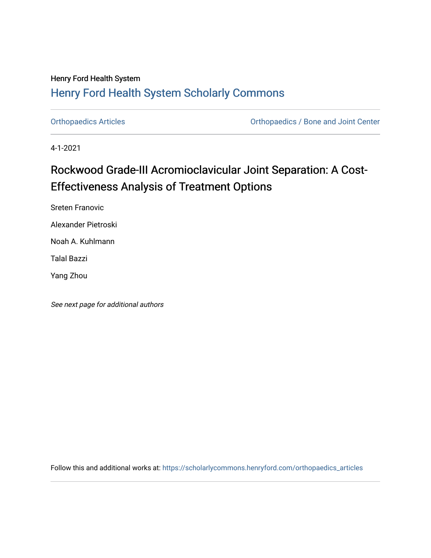## Henry Ford Health System [Henry Ford Health System Scholarly Commons](https://scholarlycommons.henryford.com/)

[Orthopaedics Articles](https://scholarlycommons.henryford.com/orthopaedics_articles) [Orthopaedics / Bone and Joint Center](https://scholarlycommons.henryford.com/orthopaedics) 

4-1-2021

## Rockwood Grade-III Acromioclavicular Joint Separation: A Cost-Effectiveness Analysis of Treatment Options

Sreten Franovic

Alexander Pietroski

Noah A. Kuhlmann

Talal Bazzi

Yang Zhou

See next page for additional authors

Follow this and additional works at: [https://scholarlycommons.henryford.com/orthopaedics\\_articles](https://scholarlycommons.henryford.com/orthopaedics_articles?utm_source=scholarlycommons.henryford.com%2Forthopaedics_articles%2F322&utm_medium=PDF&utm_campaign=PDFCoverPages)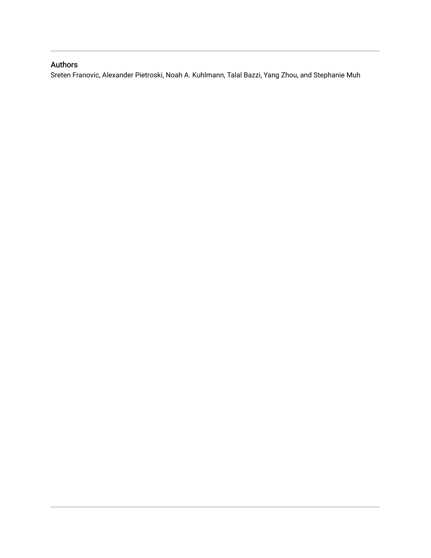### Authors

Sreten Franovic, Alexander Pietroski, Noah A. Kuhlmann, Talal Bazzi, Yang Zhou, and Stephanie Muh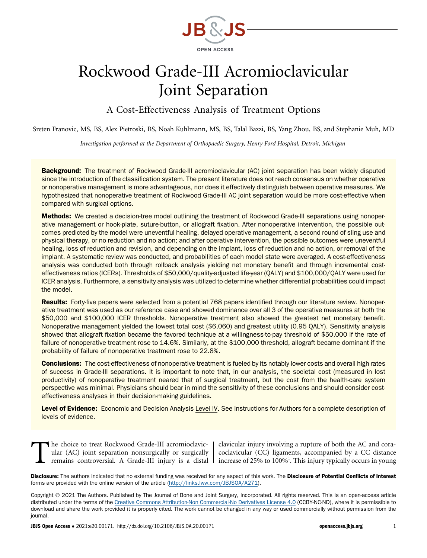

# Rockwood Grade-III Acromioclavicular Joint Separation

A Cost-Effectiveness Analysis of Treatment Options

Sreten Franovic, MS, BS, Alex Pietroski, BS, Noah Kuhlmann, MS, BS, Talal Bazzi, BS, Yang Zhou, BS, and Stephanie Muh, MD

Investigation performed at the Department of Orthopaedic Surgery, Henry Ford Hospital, Detroit, Michigan

Background: The treatment of Rockwood Grade-III acromioclavicular (AC) joint separation has been widely disputed since the introduction of the classification system. The present literature does not reach consensus on whether operative or nonoperative management is more advantageous, nor does it effectively distinguish between operative measures. We hypothesized that nonoperative treatment of Rockwood Grade-III AC joint separation would be more cost-effective when compared with surgical options.

Methods: We created a decision-tree model outlining the treatment of Rockwood Grade-III separations using nonoperative management or hook-plate, suture-button, or allograft fixation. After nonoperative intervention, the possible outcomes predicted by the model were uneventful healing, delayed operative management, a second round of sling use and physical therapy, or no reduction and no action; and after operative intervention, the possible outcomes were uneventful healing, loss of reduction and revision, and depending on the implant, loss of reduction and no action, or removal of the implant. A systematic review was conducted, and probabilities of each model state were averaged. A cost-effectiveness analysis was conducted both through rollback analysis yielding net monetary benefit and through incremental costeffectiveness ratios (ICERs). Thresholds of \$50,000/quality-adjusted life-year (QALY) and \$100,000/QALY were used for ICER analysis. Furthermore, a sensitivity analysis was utilized to determine whether differential probabilities could impact the model.

Results: Forty-five papers were selected from a potential 768 papers identified through our literature review. Nonoperative treatment was used as our reference case and showed dominance over all 3 of the operative measures at both the \$50,000 and \$100,000 ICER thresholds. Nonoperative treatment also showed the greatest net monetary benefit. Nonoperative management yielded the lowest total cost (\$6,060) and greatest utility (0.95 QALY). Sensitivity analysis showed that allograft fixation became the favored technique at a willingness-to-pay threshold of \$50,000 if the rate of failure of nonoperative treatment rose to 14.6%. Similarly, at the \$100,000 threshold, allograft became dominant if the probability of failure of nonoperative treatment rose to 22.8%.

Conclusions: The cost-effectiveness of nonoperative treatment is fueled by its notably lower costs and overall high rates of success in Grade-III separations. It is important to note that, in our analysis, the societal cost (measured in lost productivity) of nonoperative treatment neared that of surgical treatment, but the cost from the health-care system perspective was minimal. Physicians should bear in mind the sensitivity of these conclusions and should consider costeffectiveness analyses in their decision-making guidelines.

Level of Evidence: Economic and Decision Analysis Level IV. See Instructions for Authors for a complete description of levels of evidence.

The choice to treat Rockwood Grade-III acromioclavic-<br>ular (AC) joint separation nonsurgically or surgically<br>remains controversial. A Grade-III injury is a distal ular (AC) joint separation nonsurgically or surgically remains controversial. A Grade-III injury is a distal

clavicular injury involving a rupture of both the AC and coracoclavicular (CC) ligaments, accompanied by a CC distance increase of 25% to 100%<sup>1</sup>. This injury typically occurs in young

Disclosure: The authors indicated that no external funding was received for any aspect of this work. The Disclosure of Potential Conflicts of Interest forms are provided with the online version of the article (<http://links.lww.com/JBJSOA/A271>).

Copyright 2021 The Authors. Published by The Journal of Bone and Joint Surgery, Incorporated. All rights reserved. This is an open-access article distributed under the terms of the [Creative Commons Attribution-Non Commercial-No Derivatives License 4.0](http://creativecommons.org/licenses/by-nc-nd/4.0/) (CCBY-NC-ND), where it is permissible to download and share the work provided it is properly cited. The work cannot be changed in any way or used commercially without permission from the journal.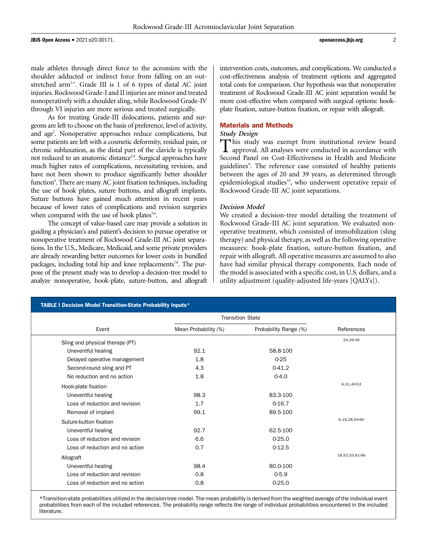male athletes through direct force to the acromion with the shoulder adducted or indirect force from falling on an outstretched arm<sup>2,3</sup>. Grade III is 1 of 6 types of distal AC joint injuries. Rockwood Grade-I and II injuries are minor and treated nonoperatively with a shoulder sling, while Rockwood Grade-IV through VI injuries are more serious and treated surgically.

As for treating Grade-III dislocations, patients and surgeons are left to choose on the basis of preference, level of activity, and age<sup>2</sup>. Nonoperative approaches reduce complications, but some patients are left with a cosmetic deformity, residual pain, or chronic subluxation, as the distal part of the clavicle is typically not reduced to an anatomic distance<sup>2,4</sup>. Surgical approaches have much higher rates of complications, necessitating revision, and have not been shown to produce significantly better shoulder function<sup>4</sup>. There are many AC joint fixation techniques, including the use of hook plates, suture buttons, and allograft implants. Suture buttons have gained much attention in recent years because of lower rates of complications and revision surgeries when compared with the use of hook plates $5.6$ .

The concept of value-based care may provide a solution in guiding a physician's and patient's decision to pursue operative or nonoperative treatment of Rockwood Grade-III AC joint separations. In the U.S., Medicare, Medicaid, and some private providers are already rewarding better outcomes for lower costs in bundled packages, including total hip and knee replacements<sup>7,8</sup>. The purpose of the present study was to develop a decision-tree model to analyze nonoperative, hook-plate, suture-button, and allograft intervention costs, outcomes, and complications. We conducted a cost-effectiveness analysis of treatment options and aggregated total costs for comparison. Our hypothesis was that nonoperative treatment of Rockwood Grade-III AC joint separation would be more cost-effective when compared with surgical options: hookplate fixation, suture-button fixation, or repair with allograft.

#### Materials and Methods

#### Study Design

This study was exempt from institutional review board approval. All analyses were conducted in accordance with Second Panel on Cost-Effectiveness in Health and Medicine guidelines<sup>9</sup>. The reference case consisted of healthy patients between the ages of 20 and 39 years, as determined through epidemiological studies<sup>10</sup>, who underwent operative repair of Rockwood Grade-III AC joint separations.

#### Decision Model

We created a decision-tree model detailing the treatment of Rockwood Grade-III AC joint separation. We evaluated nonoperative treatment, which consisted of immobilization (sling therapy) and physical therapy, as well as the following operative measures: hook-plate fixation, suture-button fixation, and repair with allograft. All operative measures are assumed to also have had similar physical therapy components. Each node of the model is associated with a specific cost, in U.S. dollars, and a utility adjustment (quality-adjusted life-years [QALYs]).

| TABLE I Decision Model Transition-State Probability Inputs* |                         |                       |                |  |
|-------------------------------------------------------------|-------------------------|-----------------------|----------------|--|
|                                                             | <b>Transition State</b> |                       |                |  |
| Event                                                       | Mean Probability (%)    | Probability Range (%) | References     |  |
| Sling and physical therapy (PT)                             |                         |                       | 24,26-39       |  |
| Uneventful healing                                          | 92.1                    | 58.8-100              |                |  |
| Delayed operative management                                | 1.8                     | $0 - 25$              |                |  |
| Second-round sling and PT                                   | 4.3                     | $0-41.2$              |                |  |
| No reduction and no action                                  | 1.8                     | $0 - 4.0$             |                |  |
| Hook-plate fixation                                         |                         |                       | 6,31,40-53     |  |
| Uneventful healing                                          | 98.3                    | 83.3-100              |                |  |
| Loss of reduction and revision                              | 1.7                     | $0-16.7$              |                |  |
| Removal of implant                                          | 99.1                    | 89.5-100              |                |  |
| Suture-button fixation                                      |                         |                       | 6,19,28,54-60  |  |
| Uneventful healing                                          | 92.7                    | 62.5-100              |                |  |
| Loss of reduction and revision                              | 6.6                     | $0-25.0$              |                |  |
| Loss of reduction and no action                             | 0.7                     | $0-12.5$              |                |  |
| Allograft                                                   |                         |                       | 18,52,53,61-66 |  |
| Uneventful healing                                          | 98.4                    | 80.0-100              |                |  |
| Loss of reduction and revision                              | 0.8                     | $0 - 5.9$             |                |  |
| Loss of reduction and no action                             | 0.8                     | $0 - 25.0$            |                |  |

\*Transition-state probabilities utilized in the decision-tree model. The mean probability is derived from the weighted average of the individual event probabilities from each of the included references. The probability range reflects the range of individual probabilities encountered in the included literature.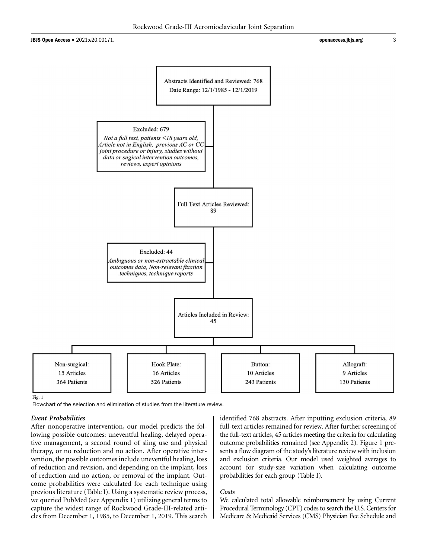

Fig. 1

Flowchart of the selection and elimination of studies from the literature review.

#### Event Probabilities

After nonoperative intervention, our model predicts the following possible outcomes: uneventful healing, delayed operative management, a second round of sling use and physical therapy, or no reduction and no action. After operative intervention, the possible outcomes include uneventful healing, loss of reduction and revision, and depending on the implant, loss of reduction and no action, or removal of the implant. Outcome probabilities were calculated for each technique using previous literature (Table I). Using a systematic review process, we queried PubMed (see Appendix 1) utilizing general terms to capture the widest range of Rockwood Grade-III-related articles from December 1, 1985, to December 1, 2019. This search identified 768 abstracts. After inputting exclusion criteria, 89 full-text articles remained for review. After further screening of the full-text articles, 45 articles meeting the criteria for calculating outcome probabilities remained (see Appendix 2). Figure 1 presents a flow diagram of the study's literature review with inclusion and exclusion criteria. Our model used weighted averages to account for study-size variation when calculating outcome probabilities for each group (Table I).

#### Costs

We calculated total allowable reimbursement by using Current Procedural Terminology (CPT) codes to search the U.S. Centers for Medicare & Medicaid Services (CMS) Physician Fee Schedule and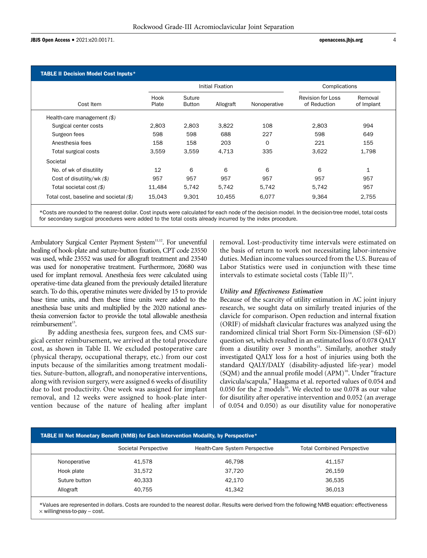#### TABLE II Decision Model Cost Inputs\*

|                                        | Initial Fixation |                  |           | Complications |                                   |                       |
|----------------------------------------|------------------|------------------|-----------|---------------|-----------------------------------|-----------------------|
| Cost Item                              | Hook<br>Plate    | Suture<br>Button | Allograft | Nonoperative  | Revision for Loss<br>of Reduction | Removal<br>of Implant |
| Health-care management $(\$)$          |                  |                  |           |               |                                   |                       |
| Surgical center costs                  | 2,803            | 2.803            | 3,822     | 108           | 2.803                             | 994                   |
| Surgeon fees                           | 598              | 598              | 688       | 227           | 598                               | 649                   |
| Anesthesia fees                        | 158              | 158              | 203       | 0             | 221                               | 155                   |
| Total surgical costs                   | 3,559            | 3,559            | 4,713     | 335           | 3,622                             | 1,798                 |
| Societal                               |                  |                  |           |               |                                   |                       |
| No. of wk of disutility                | 12               | 6                | 6         | 6             | 6                                 | $\mathbf{1}$          |
| Cost of disutility/wk (\$)             | 957              | 957              | 957       | 957           | 957                               | 957                   |
| Total societal cost (\$)               | 11,484           | 5,742            | 5,742     | 5,742         | 5,742                             | 957                   |
| Total cost, baseline and societal (\$) | 15.043           | 9.301            | 10,455    | 6,077         | 9,364                             | 2,755                 |

\*Costs are rounded to the nearest dollar. Cost inputs were calculated for each node of the decision model. In the decision-tree model, total costs for secondary surgical procedures were added to the total costs already incurred by the index procedure.

Ambulatory Surgical Center Payment System<sup>11,12</sup>. For uneventful healing of hook-plate and suture-button fixation, CPT code 23550 was used, while 23552 was used for allograft treatment and 23540 was used for nonoperative treatment. Furthermore, 20680 was used for implant removal. Anesthesia fees were calculated using operative-time data gleaned from the previously detailed literature search. To do this, operative minutes were divided by 15 to provide base time units, and then these time units were added to the anesthesia base units and multiplied by the 2020 national anesthesia conversion factor to provide the total allowable anesthesia reimbursement<sup>13</sup>.

By adding anesthesia fees, surgeon fees, and CMS surgical center reimbursement, we arrived at the total procedure cost, as shown in Table II. We excluded postoperative care (physical therapy, occupational therapy, etc.) from our cost inputs because of the similarities among treatment modalities. Suture-button, allograft, and nonoperative interventions, along with revision surgery, were assigned 6 weeks of disutility due to lost productivity. One week was assigned for implant removal, and 12 weeks were assigned to hook-plate intervention because of the nature of healing after implant removal. Lost-productivity time intervals were estimated on the basis of return to work not necessitating labor-intensive duties. Median income values sourced from the U.S. Bureau of Labor Statistics were used in conjunction with these time intervals to estimate societal costs (Table II) $^{14}$ .

#### Utility and Effectiveness Estimation

Because of the scarcity of utility estimation in AC joint injury research, we sought data on similarly treated injuries of the clavicle for comparison. Open reduction and internal fixation (ORIF) of midshaft clavicular fractures was analyzed using the randomized clinical trial Short Form Six-Dimension (SF-6D) question set, which resulted in an estimated loss of 0.078 QALY from a disutility over 3 months<sup>15</sup>. Similarly, another study investigated QALY loss for a host of injuries using both the standard QALY/DALY (disability-adjusted life-year) model  $(SQM)$  and the annual profile model  $(APM)^{16}$ . Under "fracture clavicula/scapula," Haagsma et al. reported values of 0.054 and 0.050 for the 2 models<sup>16</sup>. We elected to use 0.078 as our value for disutility after operative intervention and 0.052 (an average of 0.054 and 0.050) as our disutility value for nonoperative

| TABLE III Net Monetary Benefit (NMB) for Each Intervention Modality, by Perspective* |                      |                                |                                   |  |
|--------------------------------------------------------------------------------------|----------------------|--------------------------------|-----------------------------------|--|
|                                                                                      | Societal Perspective | Health-Care System Perspective | <b>Total Combined Perspective</b> |  |
| Nonoperative                                                                         | 41.578               | 46.798                         | 41,157                            |  |
| Hook plate                                                                           | 31.572               | 37.720                         | 26,159                            |  |
| Suture button                                                                        | 40.333               | 42.170                         | 36,535                            |  |
| Allograft                                                                            | 40.755               | 41.342                         | 36.013                            |  |

\*Values are represented in dollars. Costs are rounded to the nearest dollar. Results were derived from the following NMB equation: effectiveness  $\times$  willingness-to-pay – cost.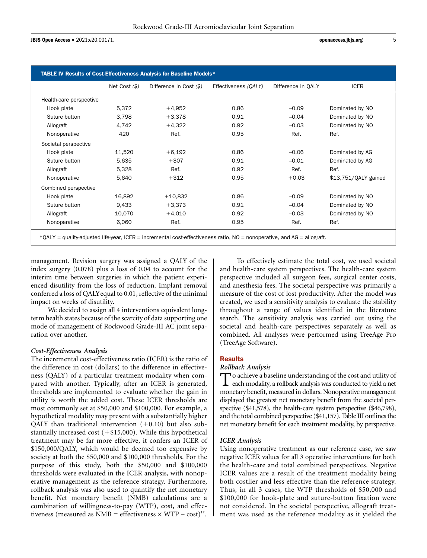JBJS Open Access • 2021:e20.00171. **but a controlled a controlled a controlled a controlled a controlled a controlled a controlled a controlled a controlled a controlled a controlled a controlled a controlled a controlled** 

|                         | Net Cost $($ \$) | Difference in Cost (\$) | Effectiveness (OALY) | Difference in OALY | <b>ICER</b>          |
|-------------------------|------------------|-------------------------|----------------------|--------------------|----------------------|
| Health-care perspective |                  |                         |                      |                    |                      |
| Hook plate              | 5,372            | $+4,952$                | 0.86                 | $-0.09$            | Dominated by NO      |
| Suture button           | 3,798            | $+3,378$                | 0.91                 | $-0.04$            | Dominated by NO      |
| Allograft               | 4,742            | $+4,322$                | 0.92                 | $-0.03$            | Dominated by NO      |
| Nonoperative            | 420              | Ref.                    | 0.95                 | Ref.               | Ref.                 |
| Societal perspective    |                  |                         |                      |                    |                      |
| Hook plate              | 11,520           | $+6,192$                | 0.86                 | $-0.06$            | Dominated by AG      |
| Suture button           | 5,635            | $+307$                  | 0.91                 | $-0.01$            | Dominated by AG      |
| Allograft               | 5,328            | Ref.                    | 0.92                 | Ref.               | Ref.                 |
| Nonoperative            | 5,640            | $+312$                  | 0.95                 | $+0.03$            | \$13,751/QALY gained |
| Combined perspective    |                  |                         |                      |                    |                      |
| Hook plate              | 16,892           | $+10,832$               | 0.86                 | $-0.09$            | Dominated by NO      |
| Suture button           | 9,433            | $+3,373$                | 0.91                 | $-0.04$            | Dominated by NO      |
| Allograft               | 10,070           | $+4,010$                | 0.92                 | $-0.03$            | Dominated by NO      |
| Nonoperative            | 6,060            | Ref.                    | 0.95                 | Ref.               | Ref.                 |

management. Revision surgery was assigned a QALY of the index surgery (0.078) plus a loss of 0.04 to account for the interim time between surgeries in which the patient experienced disutility from the loss of reduction. Implant removal conferred a loss of QALYequal to 0.01, reflective of the minimal impact on weeks of disutility.

We decided to assign all 4 interventions equivalent longterm health states because of the scarcity of data supporting one mode of management of Rockwood Grade-III AC joint separation over another.

#### Cost-Effectiveness Analysis

The incremental cost-effectiveness ratio (ICER) is the ratio of the difference in cost (dollars) to the difference in effectiveness (QALY) of a particular treatment modality when compared with another. Typically, after an ICER is generated, thresholds are implemented to evaluate whether the gain in utility is worth the added cost. These ICER thresholds are most commonly set at \$50,000 and \$100,000. For example, a hypothetical modality may present with a substantially higher QALY than traditional intervention  $(+0.10)$  but also substantially increased cost  $(+\$15,000)$ . While this hypothetical treatment may be far more effective, it confers an ICER of \$150,000/QALY, which would be deemed too expensive by society at both the \$50,000 and \$100,000 thresholds. For the purpose of this study, both the \$50,000 and \$100,000 thresholds were evaluated in the ICER analysis, with nonoperative management as the reference strategy. Furthermore, rollback analysis was also used to quantify the net monetary benefit. Net monetary benefit (NMB) calculations are a combination of willingness-to-pay (WTP), cost, and effectiveness (measured as NMB = effectiveness  $\times$  WTP – cost)<sup>17</sup>.

To effectively estimate the total cost, we used societal and health-care system perspectives. The health-care system perspective included all surgeon fees, surgical center costs, and anesthesia fees. The societal perspective was primarily a measure of the cost of lost productivity. After the model was created, we used a sensitivity analysis to evaluate the stability throughout a range of values identified in the literature search. The sensitivity analysis was carried out using the societal and health-care perspectives separately as well as combined. All analyses were performed using TreeAge Pro (TreeAge Software).

#### **Results**

#### Rollback Analysis

To achieve a baseline understanding of the cost and utility of each modality, a rollback analysis was conducted to yield a net monetary benefit, measured in dollars. Nonoperative management displayed the greatest net monetary benefit from the societal perspective (\$41,578), the health-care system perspective (\$46,798), and the total combined perspective (\$41,157). Table III outlines the net monetary benefit for each treatment modality, by perspective.

#### ICER Analysis

Using nonoperative treatment as our reference case, we saw negative ICER values for all 3 operative interventions for both the health-care and total combined perspectives. Negative ICER values are a result of the treatment modality being both costlier and less effective than the reference strategy. Thus, in all 3 cases, the WTP thresholds of \$50,000 and \$100,000 for hook-plate and suture-button fixation were not considered. In the societal perspective, allograft treatment was used as the reference modality as it yielded the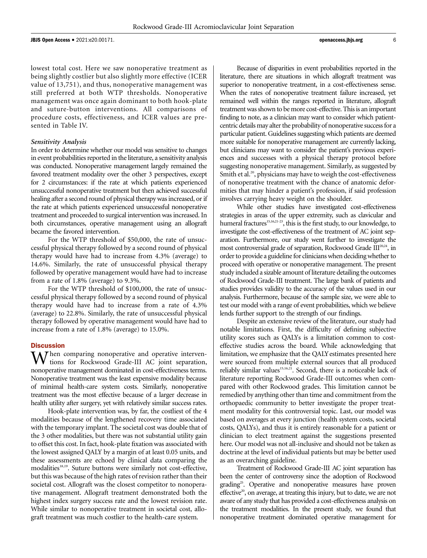lowest total cost. Here we saw nonoperative treatment as being slightly costlier but also slightly more effective (ICER value of 13,751), and thus, nonoperative management was still preferred at both WTP thresholds. Nonoperative management was once again dominant to both hook-plate and suture-button interventions. All comparisons of procedure costs, effectiveness, and ICER values are presented in Table IV.

#### Sensitivity Analysis

In order to determine whether our model was sensitive to changes in event probabilities reported in the literature, a sensitivity analysis was conducted. Nonoperative management largely remained the favored treatment modality over the other 3 perspectives, except for 2 circumstances: if the rate at which patients experienced unsuccessful nonoperative treatment but then achieved successful healing after a second round of physical therapy was increased, or if the rate at which patients experienced unsuccessful nonoperative treatment and proceeded to surgical intervention was increased. In both circumstances, operative management using an allograft became the favored intervention.

For the WTP threshold of \$50,000, the rate of unsuccessful physical therapy followed by a second round of physical therapy would have had to increase from 4.3% (average) to 14.6%. Similarly, the rate of unsuccessful physical therapy followed by operative management would have had to increase from a rate of 1.8% (average) to 9.3%.

For the WTP threshold of \$100,000, the rate of unsuccessful physical therapy followed by a second round of physical therapy would have had to increase from a rate of 4.3% (average) to 22.8%. Similarly, the rate of unsuccessful physical therapy followed by operative management would have had to increase from a rate of 1.8% (average) to 15.0%.

#### **Discussion**

 $\Lambda$ *T* hen comparing nonoperative and operative interventions for Rockwood Grade-III AC joint separation, nonoperative management dominated in cost-effectiveness terms. Nonoperative treatment was the least expensive modality because of minimal health-care system costs. Similarly, nonoperative treatment was the most effective because of a larger decrease in health utility after surgery, yet with relatively similar success rates.

Hook-plate intervention was, by far, the costliest of the 4 modalities because of the lengthened recovery time associated with the temporary implant. The societal cost was double that of the 3 other modalities, but there was not substantial utility gain to offset this cost. In fact, hook-plate fixation was associated with the lowest assigned QALY by a margin of at least 0.05 units, and these assessments are echoed by clinical data comparing the modalities<sup>18,19</sup>. Suture buttons were similarly not cost-effective, but this was because of the high rates of revision rather than their societal cost. Allograft was the closest competitor to nonoperative management. Allograft treatment demonstrated both the highest index surgery success rate and the lowest revision rate. While similar to nonoperative treatment in societal cost, allograft treatment was much costlier to the health-care system.

Because of disparities in event probabilities reported in the literature, there are situations in which allograft treatment was superior to nonoperative treatment, in a cost-effectiveness sense. When the rates of nonoperative treatment failure increased, yet remained well within the ranges reported in literature, allograft treatment was shown to be more cost-effective. This is an important finding to note, as a clinician may want to consider which patientcentric details may alter the probability of nonoperative success for a particular patient. Guidelines suggesting which patients are deemed more suitable for nonoperative management are currently lacking, but clinicians may want to consider the patient's previous experiences and successes with a physical therapy protocol before suggesting nonoperative management. Similarly, as suggested by Smith et al.<sup>20</sup>, physicians may have to weigh the cost-effectiveness of nonoperative treatment with the chance of anatomic deformities that may hinder a patient's profession, if said profession involves carrying heavy weight on the shoulder.

While other studies have investigated cost-effectiveness strategies in areas of the upper extremity, such as clavicular and humeral fractures<sup>15,16,21-23</sup>, this is the first study, to our knowledge, to investigate the cost-effectiveness of the treatment of AC joint separation. Furthermore, our study went further to investigate the most controversial grade of separation, Rockwood Grade III<sup>20,24</sup>, in order to provide a guideline for clinicians when deciding whether to proceed with operative or nonoperative management. The present study included a sizable amount of literature detailing the outcomes of Rockwood Grade-III treatment. The large bank of patients and studies provides validity to the accuracy of the values used in our analysis. Furthermore, because of the sample size, we were able to test our model with a range of event probabilities, which we believe lends further support to the strength of our findings.

Despite an extensive review of the literature, our study had notable limitations. First, the difficulty of defining subjective utility scores such as QALYs is a limitation common to costeffective studies across the board. While acknowledging that limitation, we emphasize that the QALY estimates presented here were sourced from multiple external sources that all produced reliably similar values<sup>15,16,21</sup>. Second, there is a noticeable lack of literature reporting Rockwood Grade-III outcomes when compared with other Rockwood grades. This limitation cannot be remedied by anything other than time and commitment from the orthopaedic community to better investigate the proper treatment modality for this controversial topic. Last, our model was based on averages at every junction (health system costs, societal costs, QALYs), and thus it is entirely reasonable for a patient or clinician to elect treatment against the suggestions presented here. Our model was not all-inclusive and should not be taken as doctrine at the level of individual patients but may be better used as an overarching guideline.

Treatment of Rockwood Grade-III AC joint separation has been the center of controversy since the adoption of Rockwood grading<sup>25</sup>. Operative and nonoperative measures have proven effective<sup>20</sup>, on average, at treating this injury, but to date, we are not aware of any study that has provided a cost-effectiveness analysis on the treatment modalities. In the present study, we found that nonoperative treatment dominated operative management for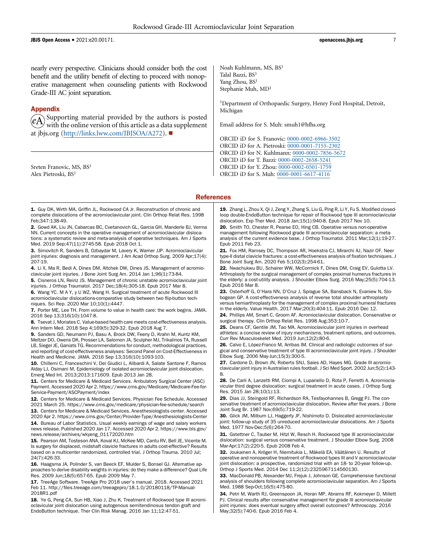JBJS Open Access • 2021:e20.00171. **and 2021:e20.00171. b** 2021:e20.00171.

nearly every perspective. Clinicians should consider both the cost benefit and the utility benefit of electing to proceed with nonoperative management when counseling patients with Rockwood Grade-III AC joint separation.

#### Appendix

Supporting material provided by the authors is posted with the online version of this article as a data supplement at [jbjs.org](http://jbjs.org) ([http://links.lww.com/JBJSOA/A272\)](http://links.lww.com/JBJSOA/A272).

Sreten Franovic, MS, BS<sup>1</sup> Alex Pietroski, BS<sup>1</sup>

Noah Kuhlmann, MS, BS<sup>1</sup> Talal Bazzi, BS<sup>1</sup> Yang Zhou, BS<sup>1</sup> Stephanie Muh, MD1

<sup>1</sup>Department of Orthopaedic Surgery, Henry Ford Hospital, Detroit, Michigan

Email address for S. Muh: [smuh1@hfhs.org](mailto:smuh1@hfhs.org)

ORCID iD for S. Franovic: [0000-0002-6966-3502](http://orcid.org/0000-0002-6966-3502) ORCID iD for A. Pietroski: [0000-0001-7155-2302](http://orcid.org/0000-0001-7155-2302) ORCID iD for N. Kuhlmann: [0000-0002-7856-5672](http://orcid.org/0000-0002-7856-5672) ORCID iD for T. Bazzi: [0000-0002-2658-5241](http://orcid.org/0000-0002-2658-5241) ORCID iD for Y. Zhou: [0000-0002-0501-1759](http://orcid.org/0000-0002-0501-1759) ORCID iD for S. Muh: [0000-0001-6617-4116](http://orcid.org/0000-0001-6617-4116)

#### **References**

1. Guy DK, Wirth MA, Griffin JL, Rockwood CA Jr. Reconstruction of chronic and complete dislocations of the acromioclavicular joint. Clin Orthop Relat Res. 1998 Feb;347:138-49.

2. Gowd AK, Liu JN, Cabarcas BC, Cvetanovich GL, Garcia GH, Manderle BJ, Verma NN. Current concepts in the operative management of acromioclavicular dislocations: a systematic review and meta-analysis of operative techniques. Am J Sports Med. 2019 Sep;47(11):2745-58. Epub 2018 Oct 1.

3. Simovitch R, Sanders B, Ozbaydar M, Lavery K, Warner JJP. Acromioclavicular joint injuries: diagnosis and management. J Am Acad Orthop Surg. 2009 Apr;17(4): 207-19.

4. Li X, Ma R, Bedi A, Dines DM, Altchek DW, Dines JS. Management of acromioclavicular joint injuries. J Bone Joint Surg Am. 2014 Jan 1;96(1):73-84.

5. Cisneros LN, Reiriz JS. Management of chronic unstable acromioclavicular joint injuries. J Orthop Traumatol. 2017 Dec;18(4):305-18. Epub 2017 Mar 8.

6. Wang YC. M A Y, y U WZ, Wang H. Surgical treatment of acute Rockwood III acromioclavicular dislocations-comparative study between two flip-button techniques. Sci Rep. 2020 Mar 10;10(1):4447.

7. Porter ME, Lee TH. From volume to value in health care: the work begins. JAMA. 2016 Sep 13;316(10):1047-8.

8. Tsevat J. Moriates C. Value-based health care meets cost-effectiveness analysis. Ann Intern Med. 2018 Sep 4;169(5):329-32. Epub 2018 Aug 7.

9. Sanders GD, Neumann PJ, Basu A, Brock DW, Feeny D, Krahn M, Kuntz KM, Meltzer DO, Owens DK, Prosser LA, Salomon JA, Sculpher MJ, Trikalinos TA, Russell LB, Siegel JE, Ganiats TG. Recommendations for conduct, methodological practices, and reporting of cost-effectiveness analyses: Second Panel on Cost-Effectiveness in Health and Medicine. JAMA. 2016 Sep 13;316(10):1093-103.

10. Chillemi C, Franceschini V, Dei Giudici L, Alibardi A, Salate Santone F, Ramos Alday LJ, Osimani M. Epidemiology of isolated acromioclavicular joint dislocation. Emerg Med Int. 2013;2013:171609. Epub 2013 Jan 28.

11. Centers for Medicare & Medicaid Services. Ambulatory Surgical Center (ASC) Payment. Accessed 2020 Apr 2. [https://www.cms.gov/Medicare/Medicare-Fee-for-](https://www.cms.gov/Medicare/Medicare-Fee-for-Service-Payment/ASCPayment/index)[Service-Payment/ASCPayment/index](https://www.cms.gov/Medicare/Medicare-Fee-for-Service-Payment/ASCPayment/index)

12. Centers for Medicare & Medicaid Services. Physician Fee Schedule. Accessed 2021 March 25.<https://www.cms.gov/medicare/physician-fee-schedule/search>

13. Centers for Medicare & Medicaid Services. Anesthesiologists center. Accessed 2020 Apr 2.<https://www.cms.gov/Center/Provider-Type/Anesthesiologists-Center> 14. Bureau of Labor Statistics. Usual weekly earnings of wage and salary workers news release. Published 2020 Jan 17. Accessed 2020 Apr 2. [https://www.bls.gov/](https://www.bls.gov/news.release/archives/wkyeng_01172020.htm)

[news.release/archives/wkyeng\\_01172020.htm](https://www.bls.gov/news.release/archives/wkyeng_01172020.htm) 15. Pearson AM, Tosteson ANA, Koval KJ, McKee MD, Cantu RV, Bell JE, Vicente M.

Is surgery for displaced, midshaft clavicle fractures in adults cost-effective? Results based on a multicenter randomized, controlled trial. J Orthop Trauma. 2010 Jul; 24(7):426-33.

16. Haagsma JA, Polinder S, van Beeck EF, Mulder S, Bonsel GJ. Alternative approaches to derive disability weights in injuries: do they make a difference? Qual Life Res. 2009 Jun;18(5):657-65. Epub 2009 May 7.

17. TreeAge Software. TreeAge Pro 2018 user's manual. 2018. Accessed 2021 Feb 11. http://fi[les.treeage.com/treeagepro/18.1.0/20180118/TP-Manual-](http://files.treeage.com/treeagepro/18.1.0/20180118/TP-Manual-2018R1.pdf)[2018R1.pdf](http://files.treeage.com/treeagepro/18.1.0/20180118/TP-Manual-2018R1.pdf)

18. Ye G, Peng CA, Sun HB, Xiao J, Zhu K. Treatment of Rockwood type III acromioclavicular joint dislocation using autogenous semitendinosus tendon graft and EndoButton technique. Ther Clin Risk Manag. 2016 Jan 11;12:47-51.

19. Zhang L, Zhou X, Qi J, Zeng Y, Zhang S, Liu G, Ping R, Li Y, Fu S. Modified closedloop double-EndoButton technique for repair of Rockwood type III acromioclavicular dislocation. Exp Ther Med. 2018 Jan;15(1):940-8. Epub 2017 Nov 10.

20. Smith TO, Chester R, Pearse EO, Hing CB. Operative versus non-operative management following Rockwood grade III acromioclavicular separation: a metaanalysis of the current evidence base. J Orthop Traumatol. 2011 Mar;12(1):19-27. Epub 2011 Feb 23.

21. Fox HM, Ramsey DC, Thompson AR, Hoekstra CJ, Mirarchi AJ, Nazir OF. Neer type-II distal clavicle fractures: a cost-effectiveness analysis of fixation techniques. J Bone Joint Surg Am. 2020 Feb 5;102(3):254-61.

22. Nwachukwu BU, Schairer WW, McCormick F, Dines DM, Craig EV, Gulotta LV. Arthroplasty for the surgical management of complex proximal humerus fractures in the elderly: a cost-utility analysis. J Shoulder Elbow Surg. 2016 May;25(5):704-13. Epub 2016 Mar 8.

23. Osterhoff G, O'Hara NN, D'Cruz J, Sprague SA, Bansback N, Evaniew N, Slobogean GP. A cost-effectiveness analysis of reverse total shoulder arthroplasty versus hemiarthroplasty for the management of complex proximal humeral fractures in the elderly. Value Health. 2017 Mar;20(3):404-11. Epub 2016 Dec 12.

24. Phillips AM, Smart C, Groom AF. Acromioclavicular dislocation. Conservative or surgical therapy. Clin Orthop Relat Res. 1998 Aug;353:10-7.

25. Deans CF, Gentile JM, Tao MA. Acromioclavicular joint injuries in overhead athletes: a concise review of injury mechanisms, treatment options, and outcomes. Curr Rev Musculoskelet Med. 2019 Jun;12(2):80-6.

26. Calvo E, López-Franco M, Arribas IM. Clinical and radiologic outcomes of surgical and conservative treatment of type III acromioclavicular joint injury. J Shoulder Elbow Surg. 2006 May-Jun;15(3):300-5.

27. Cardone D, Brown JN, Roberts SNJ, Saies AD, Hayes MG. Grade III acromioclavicular joint injury in Australian rules football. J Sci Med Sport. 2002 Jun;5(2):143- 8.

28. De Carli A, Lanzetti RM, Ciompi A, Lupariello D, Rota P, Ferretti A. Acromioclavicular third degree dislocation: surgical treatment in acute cases. J Orthop Surg Res. 2015 Jan 28;10(1):13.

29. Dias JJ, Steingold RF, Richardson RA, Tesfayohannes B, Gregg PJ. The conservative treatment of acromioclavicular dislocation. Review after five years. J Bone Joint Surg Br. 1987 Nov;69(5):719-22.

30. Glick JM, Milburn LJ, Haggerty JF, Nishimoto D. Dislocated acromioclavicular joint: follow-up study of 35 unreduced acromioclavicular dislocations. Am J Sports Med. 1977 Nov-Dec;5(6):264-70.

31. Gstettner C, Tauber M, Hitzl W, Resch H. Rockwood type III acromioclavicular dislocation: surgical versus conservative treatment. J Shoulder Elbow Surg. 2008 Mar-Apr;17(2):220-5. Epub 2008 Feb 4.

32. Joukainen A, Kröger H, Niemitukia L, Mäkelä EA, Väätäinen U. Results of operative and nonoperative treatment of Rockwood types III and V acromioclavicular joint dislocation: a prospective, randomized trial with an 18- to 20-year follow-up. Orthop J Sports Med. 2014 Dec 11;2(12):2325967114560130.

33. MacDonald PB, Alexander MJ, Frejuk J, Johnson GE. Comprehensive functional analysis of shoulders following complete acromioclavicular separation. Am J Sports Med. 1988 Sep-Oct;16(5):475-80.

34. Petri M, Warth RJ, Greenspoon JA, Horan MP, Abrams RF, Kokmeyer D, Millett PJ. Clinical results after conservative management for grade III acromioclavicular joint injuries: does eventual surgery affect overall outcomes? Arthroscopy. 2016 May;32(5):740-6. Epub 2016 Feb 4.